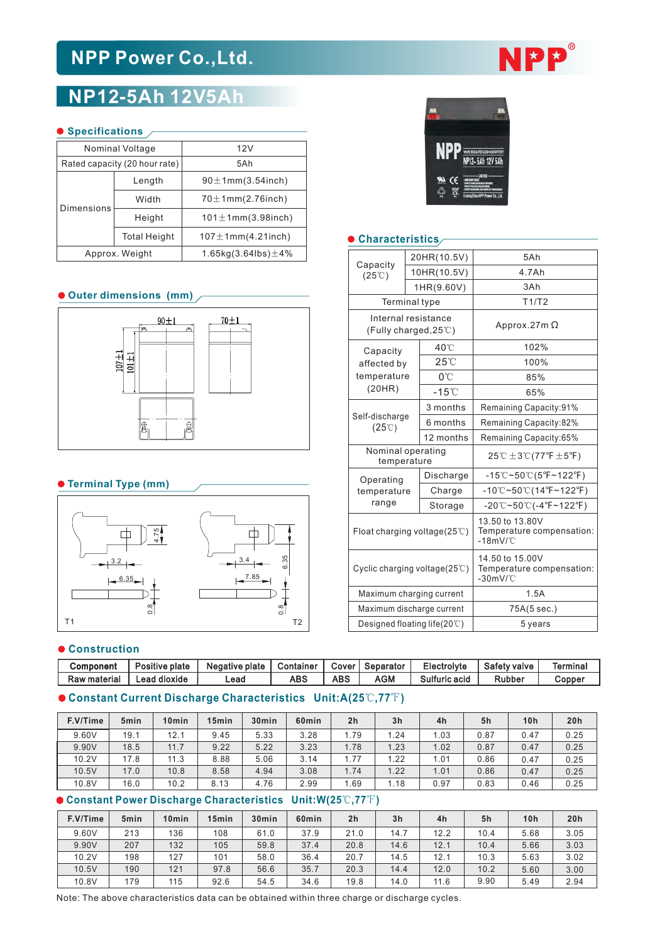# **NPP Power Co.,Ltd.**

# **NP12-5Ah 12V5Ah**

#### **O** Specifications /

|            | Nominal Voltage               | 12V                           |  |  |  |  |  |  |  |
|------------|-------------------------------|-------------------------------|--|--|--|--|--|--|--|
|            | Rated capacity (20 hour rate) | 5Ah                           |  |  |  |  |  |  |  |
|            | Length                        | $90 \pm 1$ mm $(3.54$ inch)   |  |  |  |  |  |  |  |
| Dimensions | Width                         | $70\pm1$ mm $(2.76$ inch)     |  |  |  |  |  |  |  |
|            | Height                        | $101 \pm 1$ mm $(3.98$ inch)  |  |  |  |  |  |  |  |
|            | <b>Total Height</b>           | $107 \pm 1$ mm $(4.21$ inch)  |  |  |  |  |  |  |  |
|            | Approx. Weight                | 1.65kg $(3.64$ lbs $)\pm 4\%$ |  |  |  |  |  |  |  |

#### **Outer dimensions (mm)**



# **Terminal Type (mm)**



#### $\bullet$  Construction

| Component           | Positive plate | Negative plate | Container | Cover! | Separator | Electrolyte   | Safety valve  | <b>Terminal</b> |
|---------------------|----------------|----------------|-----------|--------|-----------|---------------|---------------|-----------------|
| <b>Raw material</b> | Lead dioxide   | Lead           | ABS       | ABS    | AGM       | Sulfuric acid | <b>Rubber</b> | Copper          |

# **Constant Current Discharge Characteristics Unit:A(25**℃**,77**℉**)**

| F.V/Time | 5 <sub>min</sub> | 10 <sub>min</sub> | 15 <sub>min</sub> | 30 <sub>min</sub> | 60 <sub>min</sub> | 2 <sub>h</sub> | 3 <sub>h</sub> | 4h   | 5h   | 10 <sub>h</sub> | 20h  |
|----------|------------------|-------------------|-------------------|-------------------|-------------------|----------------|----------------|------|------|-----------------|------|
| 9.60V    | 19.1             | 12.1              | 9.45              | 5.33              | 3.28              | 1.79           | 1.24           | .03  | 0.87 | 0.47            | 0.25 |
| 9.90V    | 18.5             | 11.7              | 9.22              | 5.22              | 3.23              | 1.78           | 1.23           | 1.02 | 0.87 | 0.47            | 0.25 |
| 10.2V    | 17.8             | 11.3              | 8.88              | 5.06              | 3.14              | 1.77           | 1.22           | 1.01 | 0.86 | 0.47            | 0.25 |
| 10.5V    | 17.0             | 10.8              | 8.58              | 4.94              | 3.08              | 1.74           | 1.22           | 1.01 | 0.86 | 0.47            | 0.25 |
| 10.8V    | 16.0             | 10.2              | 8.13              | 4.76              | 2.99              | .69            | 1.18           | 0.97 | 0.83 | 0.46            | 0.25 |

# **Constant Power Discharge Characteristics Unit:W(25**℃**,77**℉**)**

| F.V/Time | 5 <sub>min</sub> | 10 <sub>min</sub> | 15 <sub>min</sub> | 30 <sub>min</sub> | 60 <sub>min</sub> | 2 <sub>h</sub> | 3 <sub>h</sub> | 4h   | 5h   | 10h  | 20h  |
|----------|------------------|-------------------|-------------------|-------------------|-------------------|----------------|----------------|------|------|------|------|
| 9.60V    | 213              | 136               | 108               | 61.0              | 37.9              | 21.0           | 14.7           | 12.2 | 10.4 | 5.68 | 3.05 |
| 9.90V    | 207              | 132               | 105               | 59.8              | 37.4              | 20.8           | 14.6           | 12.1 | 10.4 | 5.66 | 3.03 |
| 10.2V    | 198              | 127               | 101               | 58.0              | 36.4              | 20.7           | 14.5           | 12.1 | 10.3 | 5.63 | 3.02 |
| 10.5V    | 190              | 121               | 97.8              | 56.6              | 35.7              | 20.3           | 14.4           | 12.0 | 10.2 | 5.60 | 3.00 |
| 10.8V    | 179              | 115               | 92.6              | 54.5              | 34.6              | 19.8           | 14.0           | 11.6 | 9.90 | 5.49 | 2.94 |





# **Characteristics**

|                                                                       | 10 <sub>min</sub><br>5min                     | 15min                                                                                                        | 30 <sub>min</sub> | 60 <sub>min</sub> | 2 <sub>h</sub>             |                                         | 3 <sub>h</sub>                                           | 4h                                                     | 10 <sub>h</sub><br>20h<br>5h                                |                                                                   |                                                                   |  |
|-----------------------------------------------------------------------|-----------------------------------------------|--------------------------------------------------------------------------------------------------------------|-------------------|-------------------|----------------------------|-----------------------------------------|----------------------------------------------------------|--------------------------------------------------------|-------------------------------------------------------------|-------------------------------------------------------------------|-------------------------------------------------------------------|--|
|                                                                       |                                               | $\textsf{Current\,Discharge\,Characteristics \;\; Unit: } \textsf{A(25}^\circ\textsf{C},77^\circ\textsf{F})$ |                   |                   |                            |                                         |                                                          |                                                        |                                                             |                                                                   |                                                                   |  |
| <b>Lead dioxide</b><br><b>ABS</b><br><b>ABS</b><br><b>AGM</b><br>Lead |                                               |                                                                                                              |                   |                   |                            |                                         |                                                          | Sulfuric acid                                          |                                                             | <b>Rubber</b>                                                     | Copper                                                            |  |
|                                                                       | Positive plate<br>Negative plate<br>Container |                                                                                                              | Cover             | Separator         |                            | Electrolyte                             |                                                          | <b>Safety valve</b>                                    | <b>Terminal</b>                                             |                                                                   |                                                                   |  |
|                                                                       | :ion                                          |                                                                                                              |                   |                   |                            |                                         |                                                          |                                                        |                                                             |                                                                   |                                                                   |  |
| T <sub>2</sub>                                                        |                                               |                                                                                                              |                   |                   |                            |                                         | Designed floating life $(20^{\circ}\text{C})$<br>5 years |                                                        |                                                             |                                                                   |                                                                   |  |
| $\infty$                                                              |                                               |                                                                                                              |                   |                   |                            | Maximum discharge current               |                                                          |                                                        |                                                             | 75A(5 sec.)                                                       |                                                                   |  |
|                                                                       |                                               |                                                                                                              |                   |                   |                            | Maximum charging current                |                                                          |                                                        |                                                             | 1.5A                                                              |                                                                   |  |
| 7.85<br>$3.35 -$                                                      |                                               |                                                                                                              |                   |                   |                            | Cyclic charging voltage $(25^{\circ}C)$ |                                                          |                                                        | 14.50 to 15.00V<br>Temperature compensation:<br>$-30$ mV/°C |                                                                   |                                                                   |  |
|                                                                       |                                               |                                                                                                              |                   |                   |                            | Float charging voltage( $25^{\circ}$ C) |                                                          |                                                        |                                                             | 13.50 to 13.80V<br>Temperature compensation:<br>$-18$ m $V$ /°C   |                                                                   |  |
|                                                                       |                                               |                                                                                                              |                   |                   |                            | range                                   |                                                          | Storage                                                |                                                             | $-20^{\circ}$ C~50 $^{\circ}$ C(-4 $^{\circ}$ F~122 $^{\circ}$ F) |                                                                   |  |
| ype (mm)                                                              |                                               |                                                                                                              |                   |                   |                            | temperature                             |                                                          | Charge                                                 |                                                             |                                                                   | $-10^{\circ}$ C~50 $^{\circ}$ C(14 $^{\circ}$ F~122 $^{\circ}$ F) |  |
|                                                                       |                                               |                                                                                                              |                   |                   |                            | Operating                               |                                                          | Discharge                                              |                                                             | $-15^{\circ}$ C~50 $^{\circ}$ C(5°F~122°F)                        |                                                                   |  |
|                                                                       |                                               |                                                                                                              |                   |                   |                            |                                         | temperature                                              | Nominal operating                                      |                                                             | 25℃ $\pm$ 3℃(77°F $\pm$ 5°F)                                      |                                                                   |  |
|                                                                       |                                               |                                                                                                              |                   |                   |                            | Self-discharge<br>$(25^\circ\text{C})$  |                                                          | 12 months                                              |                                                             | Remaining Capacity:65%                                            |                                                                   |  |
|                                                                       |                                               | a.<br>C                                                                                                      |                   |                   |                            |                                         |                                                          | 6 months                                               |                                                             | Remaining Capacity:82%                                            |                                                                   |  |
|                                                                       |                                               |                                                                                                              |                   |                   |                            |                                         |                                                          | 3 months                                               |                                                             | Remaining Capacity:91%                                            |                                                                   |  |
|                                                                       |                                               |                                                                                                              |                   |                   |                            |                                         | (20HR)                                                   | $-15^{\circ}$ C                                        |                                                             | 65%                                                               |                                                                   |  |
|                                                                       | $101\pm1$                                     |                                                                                                              |                   |                   | affected by<br>temperature |                                         | $25^{\circ}$<br>0°C                                      |                                                        | 100%<br>85%                                                 |                                                                   |                                                                   |  |
|                                                                       |                                               |                                                                                                              |                   |                   |                            | Capacity                                |                                                          | 40°C                                                   |                                                             | 102%                                                              |                                                                   |  |
|                                                                       | $90 + 1$                                      | 70±1<br>Ā                                                                                                    |                   |                   |                            |                                         |                                                          | Internal resistance<br>(Fully charged, $25^{\circ}$ C) |                                                             | Approx.27m $\Omega$                                               |                                                                   |  |
|                                                                       |                                               |                                                                                                              |                   |                   |                            | Terminal type                           |                                                          |                                                        |                                                             | T1/T2                                                             |                                                                   |  |
|                                                                       | ensions (mm)                                  |                                                                                                              |                   |                   |                            |                                         |                                                          | 1HR(9.60V)                                             |                                                             | 3Ah                                                               |                                                                   |  |
|                                                                       |                                               |                                                                                                              |                   |                   |                            | $(25^{\circ}\text{C})$                  |                                                          | 10HR(10.5V)                                            |                                                             | 4.7Ah                                                             |                                                                   |  |
| Weight<br>1.65kg $(3.64$ lbs $)\pm 4\%$                               |                                               |                                                                                                              | Capacity          |                   |                            | 20HR(10.5V)                             |                                                          | 5Ah                                                    |                                                             |                                                                   |                                                                   |  |
|                                                                       |                                               |                                                                                                              |                   |                   |                            |                                         |                                                          |                                                        |                                                             |                                                                   |                                                                   |  |